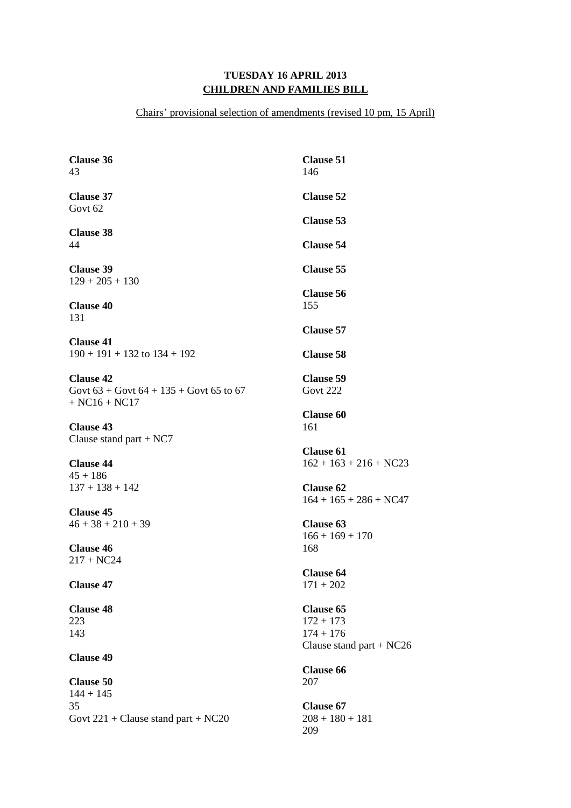## **TUESDAY 16 APRIL 2013 CHILDREN AND FAMILIES BILL**

Chairs' provisional selection of amendments (revised 10 pm, 15 April)

| <b>Clause 36</b><br>43                                                             | <b>Clause 51</b><br>146                      |
|------------------------------------------------------------------------------------|----------------------------------------------|
| <b>Clause 37</b><br>Govt <sub>62</sub>                                             | <b>Clause 52</b>                             |
|                                                                                    | <b>Clause 53</b>                             |
| <b>Clause 38</b><br>44                                                             | <b>Clause 54</b>                             |
| <b>Clause 39</b><br>$129 + 205 + 130$                                              | <b>Clause 55</b>                             |
| <b>Clause 40</b><br>131                                                            | <b>Clause 56</b><br>155                      |
|                                                                                    | <b>Clause 57</b>                             |
| <b>Clause 41</b><br>$190 + 191 + 132$ to $134 + 192$                               | <b>Clause 58</b>                             |
| <b>Clause 42</b><br>Govt $63 +$ Govt $64 + 135 +$ Govt 65 to 67<br>$+ NC16 + NC17$ | <b>Clause 59</b><br><b>Govt 222</b>          |
| <b>Clause 43</b><br>Clause stand part $+ NC7$                                      | <b>Clause 60</b><br>161                      |
| <b>Clause 44</b>                                                                   | <b>Clause 61</b><br>$162 + 163 + 216 + NC23$ |
| $45 + 186$<br>$137 + 138 + 142$                                                    | <b>Clause 62</b><br>$164 + 165 + 286 + NC47$ |
| <b>Clause 45</b><br>$46 + 38 + 210 + 39$                                           | <b>Clause 63</b><br>$166 + 169 + 170$        |
| <b>Clause 46</b><br>$217 + NC24$                                                   | 168                                          |
| <b>Clause 47</b>                                                                   | <b>Clause 64</b><br>$171 + 202$              |
| <b>Clause 48</b><br>223                                                            | <b>Clause 65</b><br>$172 + 173$              |
| 143                                                                                | $174 + 176$                                  |
| <b>Clause 49</b>                                                                   | Clause stand part + $NC26$                   |
| <b>Clause 50</b>                                                                   | <b>Clause 66</b><br>207                      |
| $144 + 145$<br>35                                                                  | <b>Clause 67</b>                             |
| Govt $221 +$ Clause stand part + NC20                                              | $208 + 180 + 181$<br>209                     |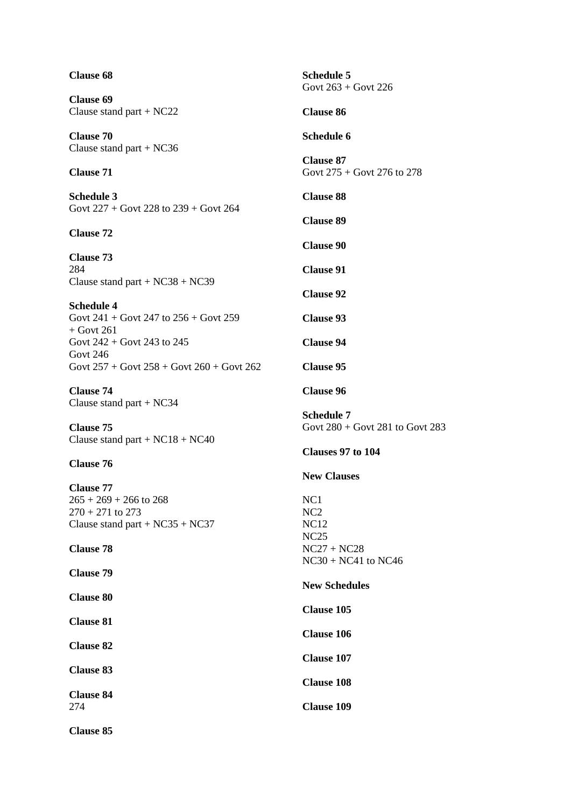| <b>Clause 68</b>                                                                   | <b>Schedule 5</b><br>Govt $263 +$ Govt 226                 |
|------------------------------------------------------------------------------------|------------------------------------------------------------|
| <b>Clause 69</b><br>Clause stand part $+ NC22$                                     | <b>Clause 86</b>                                           |
| <b>Clause 70</b>                                                                   | <b>Schedule 6</b>                                          |
| Clause stand part $+ NC36$                                                         | <b>Clause 87</b>                                           |
| <b>Clause 71</b>                                                                   | Govt $275 +$ Govt 276 to 278<br><b>Clause 88</b>           |
| <b>Schedule 3</b><br>Govt $227 +$ Govt $228$ to $239 +$ Govt $264$                 | <b>Clause 89</b>                                           |
| <b>Clause 72</b>                                                                   | <b>Clause 90</b>                                           |
| <b>Clause 73</b><br>284                                                            | <b>Clause 91</b>                                           |
| Clause stand part + $NC38 + NC39$                                                  | <b>Clause 92</b>                                           |
| <b>Schedule 4</b><br>Govt $241 +$ Govt $247$ to $256 +$ Govt $259$<br>$+$ Govt 261 | <b>Clause 93</b>                                           |
| Govt $242 +$ Govt 243 to 245<br>Govt 246                                           | <b>Clause 94</b>                                           |
| Govt $257 +$ Govt $258 +$ Govt $260 +$ Govt $262$                                  | <b>Clause 95</b>                                           |
| <b>Clause 74</b><br>Clause stand part $+ NC34$                                     | <b>Clause 96</b>                                           |
| <b>Clause 75</b><br>Clause stand part + $NC18 + NC40$                              | <b>Schedule 7</b><br>Govt $280 +$ Govt $281$ to Govt $283$ |
| <b>Clause 76</b>                                                                   | Clauses 97 to 104                                          |
| <b>Clause 77</b>                                                                   | <b>New Clauses</b>                                         |
| $265 + 269 + 266$ to 268<br>$270 + 271$ to 273                                     | NC1<br>NC <sub>2</sub>                                     |
| Clause stand part + $NC35 + NC37$<br><b>Clause 78</b>                              | <b>NC12</b><br>NC25<br>$NC27 + NC28$                       |
| <b>Clause 79</b>                                                                   | $NC30 + NC41$ to $NC46$                                    |
| <b>Clause 80</b>                                                                   | <b>New Schedules</b>                                       |
| <b>Clause 81</b>                                                                   | <b>Clause 105</b>                                          |
| <b>Clause 82</b>                                                                   | <b>Clause 106</b>                                          |
| <b>Clause 83</b>                                                                   | <b>Clause 107</b><br><b>Clause 108</b>                     |
| <b>Clause 84</b><br>274                                                            | <b>Clause 109</b>                                          |
| <b>Clause 85</b>                                                                   |                                                            |